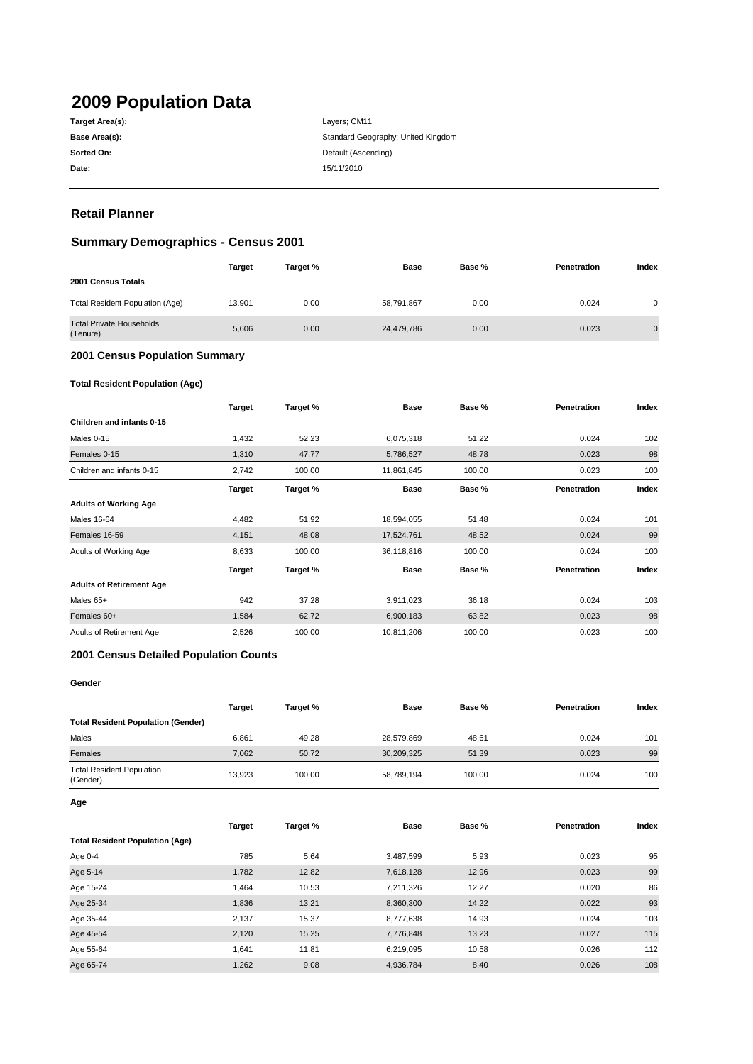# **2009 Population Data**

| Target Area(s): |
|-----------------|
| Base Area(s):   |
| Sorted On:      |
| Date:           |

**Date:** 15/11/2010 Layers; CM11 Standard Geography; United Kingdom **Default (Ascending)** 

# **Retail Planner**

# **Summary Demographics - Census 2001**

|                                             | <b>Target</b> | Target % | Base       | Base % | Penetration | Index          |
|---------------------------------------------|---------------|----------|------------|--------|-------------|----------------|
| 2001 Census Totals                          |               |          |            |        |             |                |
| <b>Total Resident Population (Age)</b>      | 13.901        | 0.00     | 58,791,867 | 0.00   | 0.024       | 0              |
| <b>Total Private Households</b><br>(Tenure) | 5.606         | 0.00     | 24,479,786 | 0.00   | 0.023       | $\overline{0}$ |

#### **2001 Census Population Summary**

### **Total Resident Population (Age)**

|                                 | <b>Target</b> | Target % | <b>Base</b> | Base % | <b>Penetration</b> | Index |
|---------------------------------|---------------|----------|-------------|--------|--------------------|-------|
| Children and infants 0-15       |               |          |             |        |                    |       |
| Males 0-15                      | 1,432         | 52.23    | 6,075,318   | 51.22  | 0.024              | 102   |
| Females 0-15                    | 1,310         | 47.77    | 5,786,527   | 48.78  | 0.023              | 98    |
| Children and infants 0-15       | 2,742         | 100.00   | 11,861,845  | 100.00 | 0.023              | 100   |
|                                 | <b>Target</b> | Target % | <b>Base</b> | Base % | Penetration        | Index |
| <b>Adults of Working Age</b>    |               |          |             |        |                    |       |
| Males 16-64                     | 4,482         | 51.92    | 18,594,055  | 51.48  | 0.024              | 101   |
| Females 16-59                   | 4,151         | 48.08    | 17,524,761  | 48.52  | 0.024              | 99    |
| Adults of Working Age           | 8,633         | 100.00   | 36,118,816  | 100.00 | 0.024              | 100   |
|                                 | <b>Target</b> | Target % | <b>Base</b> | Base % | Penetration        | Index |
| <b>Adults of Retirement Age</b> |               |          |             |        |                    |       |
| Males 65+                       | 942           | 37.28    | 3,911,023   | 36.18  | 0.024              | 103   |
| Females 60+                     | 1,584         | 62.72    | 6,900,183   | 63.82  | 0.023              | 98    |
| Adults of Retirement Age        | 2,526         | 100.00   | 10,811,206  | 100.00 | 0.023              | 100   |

#### **2001 Census Detailed Population Counts**

#### **Gender**

|                                              | Target | Target % | Base       | Base % | Penetration | Index |
|----------------------------------------------|--------|----------|------------|--------|-------------|-------|
| <b>Total Resident Population (Gender)</b>    |        |          |            |        |             |       |
| Males                                        | 6,861  | 49.28    | 28,579,869 | 48.61  | 0.024       | 101   |
| Females                                      | 7.062  | 50.72    | 30,209,325 | 51.39  | 0.023       | 99    |
| <b>Total Resident Population</b><br>(Gender) | 13.923 | 100.00   | 58,789,194 | 100.00 | 0.024       | 100   |

**Age**

|                                        | Target | Target % | <b>Base</b> | Base % | Penetration | Index |
|----------------------------------------|--------|----------|-------------|--------|-------------|-------|
| <b>Total Resident Population (Age)</b> |        |          |             |        |             |       |
| Age 0-4                                | 785    | 5.64     | 3,487,599   | 5.93   | 0.023       | 95    |
| Age 5-14                               | 1,782  | 12.82    | 7,618,128   | 12.96  | 0.023       | 99    |
| Age 15-24                              | 1.464  | 10.53    | 7,211,326   | 12.27  | 0.020       | 86    |
| Age 25-34                              | 1,836  | 13.21    | 8,360,300   | 14.22  | 0.022       | 93    |
| Age 35-44                              | 2,137  | 15.37    | 8,777,638   | 14.93  | 0.024       | 103   |
| Age 45-54                              | 2,120  | 15.25    | 7,776,848   | 13.23  | 0.027       | 115   |
| Age 55-64                              | 1.641  | 11.81    | 6,219,095   | 10.58  | 0.026       | 112   |
| Age 65-74                              | 1,262  | 9.08     | 4,936,784   | 8.40   | 0.026       | 108   |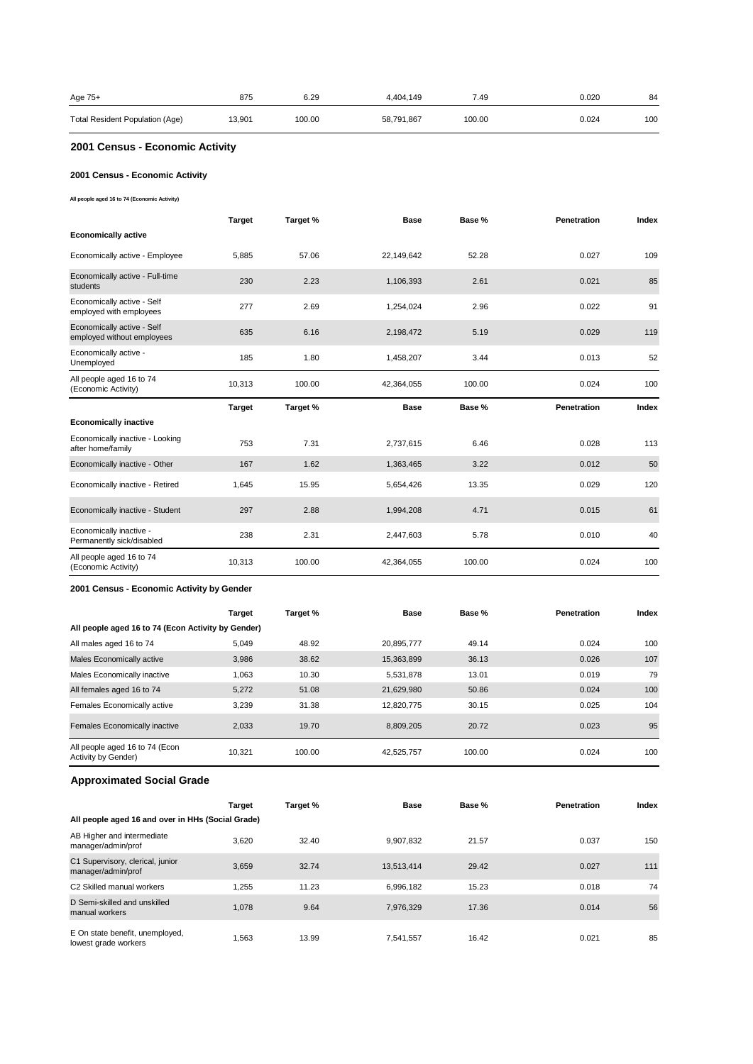| Age 75+                         | 875    | 6.29   | 4.404.149  | 7.49   | 0.020 | 84  |
|---------------------------------|--------|--------|------------|--------|-------|-----|
| Total Resident Population (Age) | 13,901 | 100.00 | 58,791,867 | 100.00 | 0.024 | 100 |

# **2001 Census - Economic Activity**

### **2001 Census - Economic Activity**

**All people aged 16 to 74 (Economic Activity)**

|                                                          | <b>Target</b> | Target % | <b>Base</b> | Base % | <b>Penetration</b> | Index |
|----------------------------------------------------------|---------------|----------|-------------|--------|--------------------|-------|
| <b>Economically active</b>                               |               |          |             |        |                    |       |
| Economically active - Employee                           | 5.885         | 57.06    | 22,149,642  | 52.28  | 0.027              | 109   |
| Economically active - Full-time<br>students              | 230           | 2.23     | 1,106,393   | 2.61   | 0.021              | 85    |
| Economically active - Self<br>employed with employees    | 277           | 2.69     | 1,254,024   | 2.96   | 0.022              | 91    |
| Economically active - Self<br>employed without employees | 635           | 6.16     | 2,198,472   | 5.19   | 0.029              | 119   |
| Economically active -<br>Unemployed                      | 185           | 1.80     | 1,458,207   | 3.44   | 0.013              | 52    |
| All people aged 16 to 74<br>(Economic Activity)          | 10,313        | 100.00   | 42,364,055  | 100.00 | 0.024              | 100   |
|                                                          |               |          |             |        |                    |       |
|                                                          | <b>Target</b> | Target % | <b>Base</b> | Base % | Penetration        | Index |
| <b>Economically inactive</b>                             |               |          |             |        |                    |       |
| Economically inactive - Looking<br>after home/family     | 753           | 7.31     | 2,737,615   | 6.46   | 0.028              | 113   |
| Economically inactive - Other                            | 167           | 1.62     | 1,363,465   | 3.22   | 0.012              | 50    |
| Economically inactive - Retired                          | 1.645         | 15.95    | 5,654,426   | 13.35  | 0.029              | 120   |
| Economically inactive - Student                          | 297           | 2.88     | 1,994,208   | 4.71   | 0.015              | 61    |
| Economically inactive -<br>Permanently sick/disabled     | 238           | 2.31     | 2,447,603   | 5.78   | 0.010              | 40    |

#### **2001 Census - Economic Activity by Gender**

|                                                       | <b>Target</b> | Target % | <b>Base</b> | Base % | Penetration | Index |
|-------------------------------------------------------|---------------|----------|-------------|--------|-------------|-------|
| All people aged 16 to 74 (Econ Activity by Gender)    |               |          |             |        |             |       |
| All males aged 16 to 74                               | 5.049         | 48.92    | 20.895.777  | 49.14  | 0.024       | 100   |
| Males Economically active                             | 3,986         | 38.62    | 15,363,899  | 36.13  | 0.026       | 107   |
| Males Economically inactive                           | 1,063         | 10.30    | 5,531,878   | 13.01  | 0.019       | 79    |
| All females aged 16 to 74                             | 5,272         | 51.08    | 21,629,980  | 50.86  | 0.024       | 100   |
| Females Economically active                           | 3.239         | 31.38    | 12.820.775  | 30.15  | 0.025       | 104   |
| Females Economically inactive                         | 2.033         | 19.70    | 8.809.205   | 20.72  | 0.023       | 95    |
| All people aged 16 to 74 (Econ<br>Activity by Gender) | 10.321        | 100.00   | 42,525,757  | 100.00 | 0.024       | 100   |

# **Approximated Social Grade**

|                                                         | <b>Target</b> | Target % | <b>Base</b> | Base % | <b>Penetration</b> | Index |
|---------------------------------------------------------|---------------|----------|-------------|--------|--------------------|-------|
| All people aged 16 and over in HHs (Social Grade)       |               |          |             |        |                    |       |
| AB Higher and intermediate<br>manager/admin/prof        | 3.620         | 32.40    | 9.907.832   | 21.57  | 0.037              | 150   |
| C1 Supervisory, clerical, junior<br>manager/admin/prof  | 3,659         | 32.74    | 13,513,414  | 29.42  | 0.027              | 111   |
| C <sub>2</sub> Skilled manual workers                   | 1.255         | 11.23    | 6.996.182   | 15.23  | 0.018              | 74    |
| D Semi-skilled and unskilled<br>manual workers          | 1.078         | 9.64     | 7.976.329   | 17.36  | 0.014              | 56    |
| E On state benefit, unemployed,<br>lowest grade workers | 1.563         | 13.99    | 7,541,557   | 16.42  | 0.021              | 85    |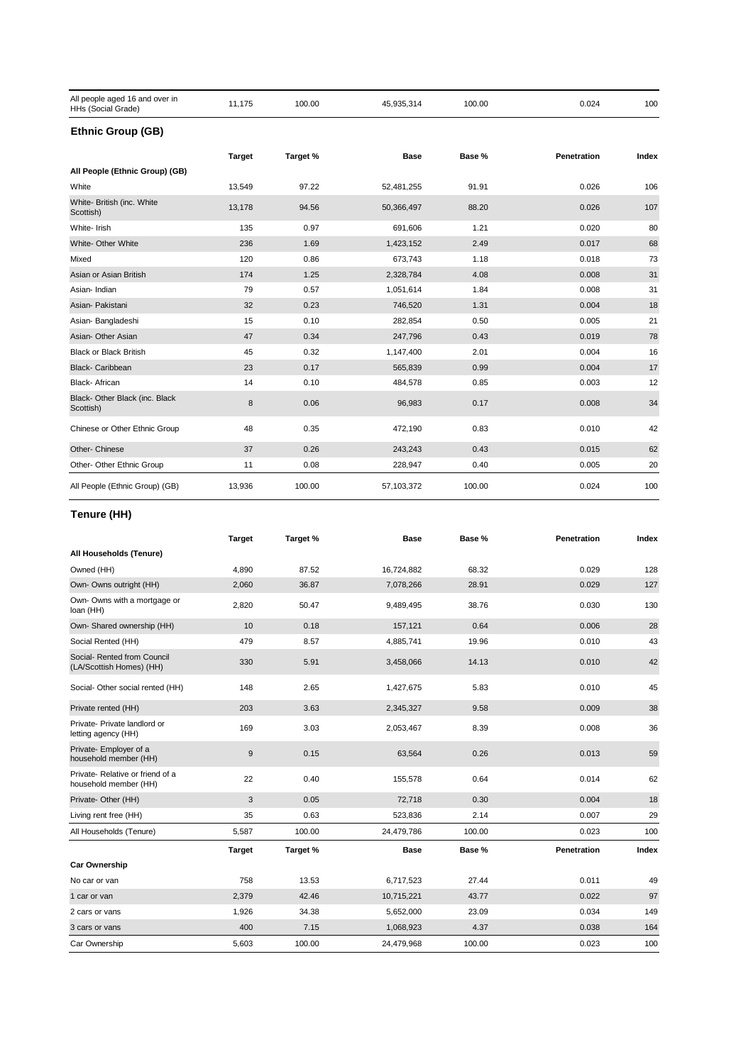| All people aged 16 and over in<br>HHs (Social Grade) | 11,175        | 100.00   | 45,935,314 | 100.00 | 0.024       | 100   |
|------------------------------------------------------|---------------|----------|------------|--------|-------------|-------|
| <b>Ethnic Group (GB)</b>                             |               |          |            |        |             |       |
|                                                      | <b>Target</b> | Target % | Base       | Base % | Penetration | Index |
| All People (Ethnic Group) (GB)                       |               |          |            |        |             |       |
| White                                                | 13,549        | 97.22    | 52,481,255 | 91.91  | 0.026       | 106   |
| White- British (inc. White<br>Scottish)              | 13,178        | 94.56    | 50,366,497 | 88.20  | 0.026       | 107   |
| White- Irish                                         | 135           | 0.97     | 691,606    | 1.21   | 0.020       | 80    |
| White- Other White                                   | 236           | 1.69     | 1,423,152  | 2.49   | 0.017       | 68    |
| Mixed                                                | 120           | 0.86     | 673,743    | 1.18   | 0.018       | 73    |
| Asian or Asian British                               | 174           | 1.25     | 2,328,784  | 4.08   | 0.008       | 31    |
| Asian-Indian                                         | 79            | 0.57     | 1,051,614  | 1.84   | 0.008       | 31    |
| Asian- Pakistani                                     | 32            | 0.23     | 746,520    | 1.31   | 0.004       | 18    |
| Asian-Bangladeshi                                    | 15            | 0.10     | 282,854    | 0.50   | 0.005       | 21    |
| Asian- Other Asian                                   | 47            | 0.34     | 247,796    | 0.43   | 0.019       | 78    |
| <b>Black or Black British</b>                        | 45            | 0.32     | 1,147,400  | 2.01   | 0.004       | 16    |
| <b>Black-Caribbean</b>                               | 23            | 0.17     | 565,839    | 0.99   | 0.004       | 17    |
| <b>Black-African</b>                                 | 14            | 0.10     | 484,578    | 0.85   | 0.003       | 12    |
| Black- Other Black (inc. Black<br>Scottish)          | 8             | 0.06     | 96,983     | 0.17   | 0.008       | 34    |
| Chinese or Other Ethnic Group                        | 48            | 0.35     | 472,190    | 0.83   | 0.010       | 42    |
| Other- Chinese                                       | 37            | 0.26     | 243,243    | 0.43   | 0.015       | 62    |
| Other- Other Ethnic Group                            | 11            | 0.08     | 228,947    | 0.40   | 0.005       | 20    |
| All People (Ethnic Group) (GB)                       | 13,936        | 100.00   | 57,103,372 | 100.00 | 0.024       | 100   |

# **Tenure (HH)**

|                                                          | <b>Target</b> | Target % | <b>Base</b> | Base % | Penetration | Index |
|----------------------------------------------------------|---------------|----------|-------------|--------|-------------|-------|
| All Households (Tenure)                                  |               |          |             |        |             |       |
| Owned (HH)                                               | 4,890         | 87.52    | 16,724,882  | 68.32  | 0.029       | 128   |
| Own- Owns outright (HH)                                  | 2,060         | 36.87    | 7,078,266   | 28.91  | 0.029       | 127   |
| Own- Owns with a mortgage or<br>loan (HH)                | 2,820         | 50.47    | 9,489,495   | 38.76  | 0.030       | 130   |
| Own- Shared ownership (HH)                               | 10            | 0.18     | 157,121     | 0.64   | 0.006       | 28    |
| Social Rented (HH)                                       | 479           | 8.57     | 4,885,741   | 19.96  | 0.010       | 43    |
| Social- Rented from Council<br>(LA/Scottish Homes) (HH)  | 330           | 5.91     | 3,458,066   | 14.13  | 0.010       | 42    |
| Social- Other social rented (HH)                         | 148           | 2.65     | 1,427,675   | 5.83   | 0.010       | 45    |
| Private rented (HH)                                      | 203           | 3.63     | 2,345,327   | 9.58   | 0.009       | 38    |
| Private- Private landlord or<br>letting agency (HH)      | 169           | 3.03     | 2,053,467   | 8.39   | 0.008       | 36    |
| Private- Employer of a<br>household member (HH)          | $9\,$         | 0.15     | 63,564      | 0.26   | 0.013       | 59    |
| Private-Relative or friend of a<br>household member (HH) | 22            | 0.40     | 155,578     | 0.64   | 0.014       | 62    |
| Private- Other (HH)                                      | 3             | 0.05     | 72,718      | 0.30   | 0.004       | 18    |
| Living rent free (HH)                                    | 35            | 0.63     | 523,836     | 2.14   | 0.007       | 29    |
| All Households (Tenure)                                  | 5,587         | 100.00   | 24,479,786  | 100.00 | 0.023       | 100   |
|                                                          | <b>Target</b> | Target % | <b>Base</b> | Base % | Penetration | Index |
| <b>Car Ownership</b>                                     |               |          |             |        |             |       |
| No car or van                                            | 758           | 13.53    | 6,717,523   | 27.44  | 0.011       | 49    |
| 1 car or van                                             | 2,379         | 42.46    | 10,715,221  | 43.77  | 0.022       | 97    |
| 2 cars or vans                                           | 1,926         | 34.38    | 5,652,000   | 23.09  | 0.034       | 149   |
| 3 cars or vans                                           | 400           | 7.15     | 1,068,923   | 4.37   | 0.038       | 164   |
| Car Ownership                                            | 5,603         | 100.00   | 24,479,968  | 100.00 | 0.023       | 100   |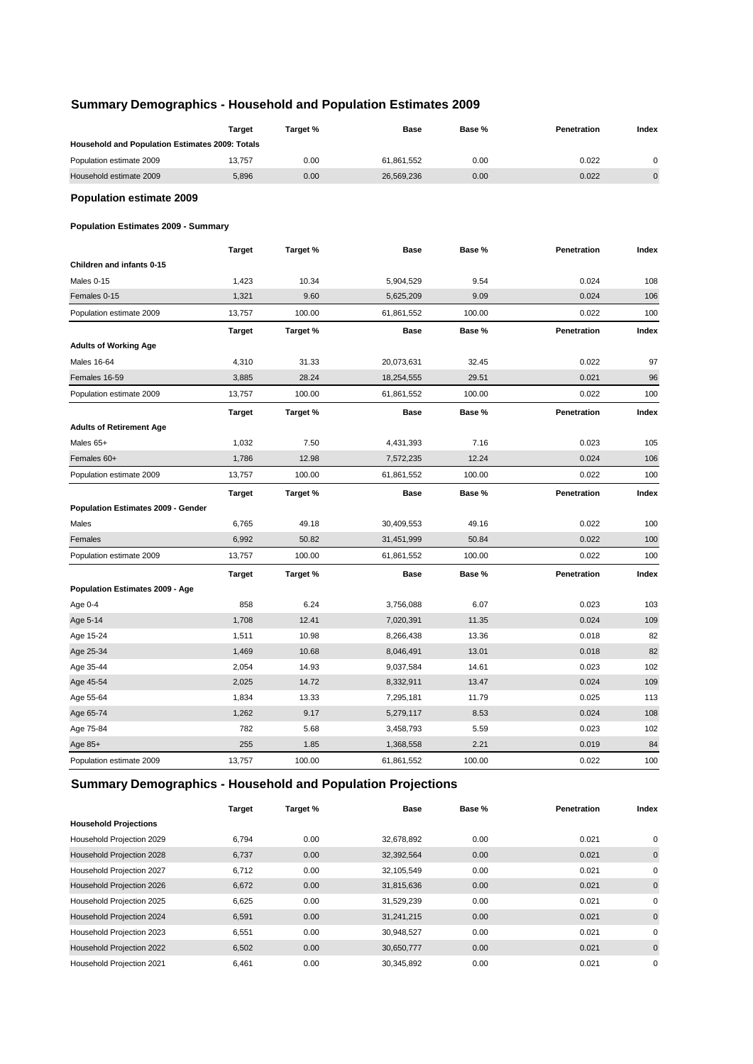# **Summary Demographics - Household and Population Estimates 2009**

|                                                 | <b>Target</b> | Target % | Base        | Base % | Penetration | Index       |
|-------------------------------------------------|---------------|----------|-------------|--------|-------------|-------------|
| Household and Population Estimates 2009: Totals |               |          |             |        |             |             |
| Population estimate 2009                        | 13,757        | 0.00     | 61,861,552  | 0.00   | 0.022       | $\mathbf 0$ |
| Household estimate 2009                         | 5,896         | 0.00     | 26,569,236  | 0.00   | 0.022       | $\pmb{0}$   |
| <b>Population estimate 2009</b>                 |               |          |             |        |             |             |
| <b>Population Estimates 2009 - Summary</b>      |               |          |             |        |             |             |
|                                                 | <b>Target</b> | Target % | <b>Base</b> | Base % | Penetration | Index       |
| Children and infants 0-15                       |               |          |             |        |             |             |
| Males 0-15                                      | 1,423         | 10.34    | 5,904,529   | 9.54   | 0.024       | 108         |
| Females 0-15                                    | 1,321         | 9.60     | 5,625,209   | 9.09   | 0.024       | 106         |
| Population estimate 2009                        | 13,757        | 100.00   | 61,861,552  | 100.00 | 0.022       | 100         |
|                                                 | <b>Target</b> | Target % | <b>Base</b> | Base % | Penetration | Index       |
| <b>Adults of Working Age</b>                    |               |          |             |        |             |             |
| <b>Males 16-64</b>                              | 4,310         | 31.33    | 20,073,631  | 32.45  | 0.022       | 97          |
| Females 16-59                                   | 3,885         | 28.24    | 18,254,555  | 29.51  | 0.021       | 96          |
| Population estimate 2009                        | 13,757        | 100.00   | 61,861,552  | 100.00 | 0.022       | 100         |
|                                                 | <b>Target</b> | Target % | <b>Base</b> | Base % | Penetration | Index       |
| <b>Adults of Retirement Age</b>                 |               |          |             |        |             |             |
| Males 65+                                       | 1,032         | 7.50     | 4,431,393   | 7.16   | 0.023       | 105         |
| Females 60+                                     | 1,786         | 12.98    | 7,572,235   | 12.24  | 0.024       | 106         |
| Population estimate 2009                        | 13,757        | 100.00   | 61,861,552  | 100.00 | 0.022       | 100         |
|                                                 | <b>Target</b> | Target % | <b>Base</b> | Base % | Penetration | Index       |
| Population Estimates 2009 - Gender              |               |          |             |        |             |             |
| Males                                           | 6,765         | 49.18    | 30,409,553  | 49.16  | 0.022       | 100         |
| Females                                         | 6,992         | 50.82    | 31,451,999  | 50.84  | 0.022       | 100         |
| Population estimate 2009                        | 13,757        | 100.00   | 61,861,552  | 100.00 | 0.022       | 100         |
|                                                 | <b>Target</b> | Target % | <b>Base</b> | Base % | Penetration | Index       |
| Population Estimates 2009 - Age                 |               |          |             |        |             |             |
| Age 0-4                                         | 858           | 6.24     | 3,756,088   | 6.07   | 0.023       | 103         |
| Age 5-14                                        | 1,708         | 12.41    | 7,020,391   | 11.35  | 0.024       | 109         |
| Age 15-24                                       | 1,511         | 10.98    | 8,266,438   | 13.36  | 0.018       | 82          |
| Age 25-34                                       | 1,469         | 10.68    | 8,046,491   | 13.01  | 0.018       | 82          |
| Age 35-44                                       | 2,054         | 14.93    | 9,037,584   | 14.61  | 0.023       | 102         |
| Age 45-54                                       | 2,025         | 14.72    | 8,332,911   | 13.47  | 0.024       | 109         |
| Age 55-64                                       | 1,834         | 13.33    | 7,295,181   | 11.79  | 0.025       | 113         |
| Age 65-74                                       | 1,262         | 9.17     | 5,279,117   | 8.53   | 0.024       | 108         |
| Age 75-84                                       | 782           | 5.68     | 3,458,793   | 5.59   | 0.023       | 102         |
| Age 85+                                         | 255           | 1.85     | 1,368,558   | 2.21   | 0.019       | 84          |
| Population estimate 2009                        | 13,757        | 100.00   | 61,861,552  | 100.00 | 0.022       | 100         |

# **Summary Demographics - Household and Population Projections**

|                              | <b>Target</b> | Target % | <b>Base</b> | Base % | Penetration | Index       |
|------------------------------|---------------|----------|-------------|--------|-------------|-------------|
| <b>Household Projections</b> |               |          |             |        |             |             |
| Household Projection 2029    | 6,794         | 0.00     | 32,678,892  | 0.00   | 0.021       | 0           |
| Household Projection 2028    | 6,737         | 0.00     | 32,392,564  | 0.00   | 0.021       | $\mathbf 0$ |
| Household Projection 2027    | 6.712         | 0.00     | 32,105,549  | 0.00   | 0.021       | 0           |
| Household Projection 2026    | 6,672         | 0.00     | 31,815,636  | 0.00   | 0.021       | $\mathbf 0$ |
| Household Projection 2025    | 6,625         | 0.00     | 31,529,239  | 0.00   | 0.021       | 0           |
| Household Projection 2024    | 6,591         | 0.00     | 31,241,215  | 0.00   | 0.021       | $\mathbf 0$ |
| Household Projection 2023    | 6.551         | 0.00     | 30,948,527  | 0.00   | 0.021       | 0           |
| Household Projection 2022    | 6,502         | 0.00     | 30,650,777  | 0.00   | 0.021       | $\mathbf 0$ |
| Household Projection 2021    | 6.461         | 0.00     | 30,345,892  | 0.00   | 0.021       | 0           |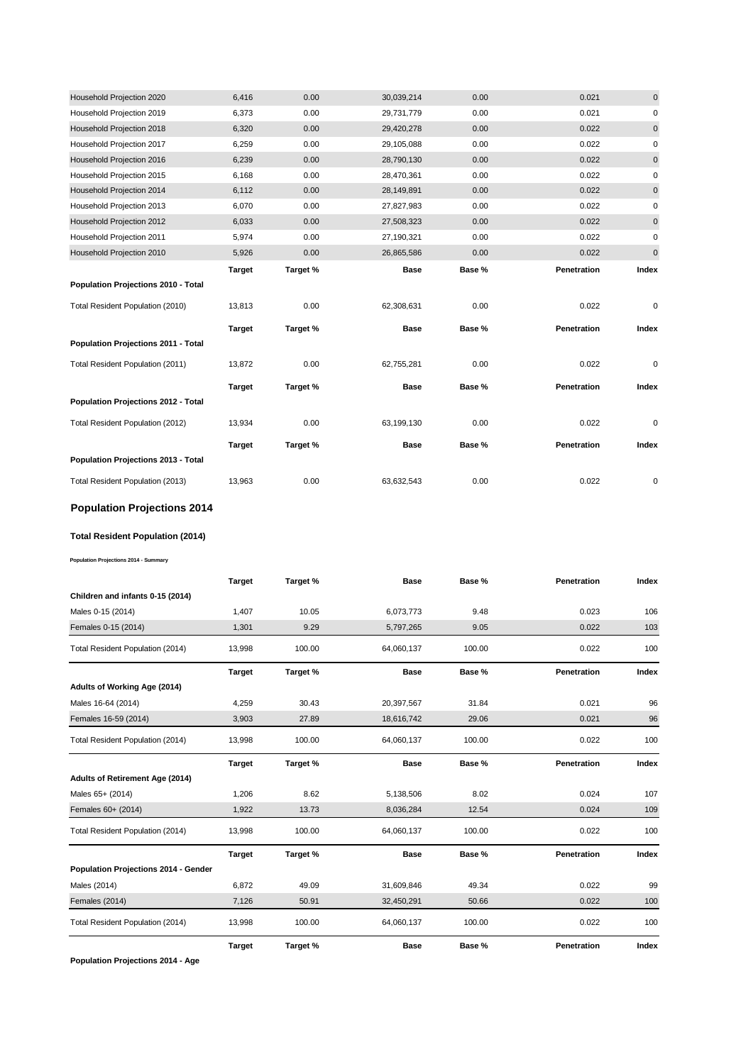| Household Projection 2020           | 6,416         | 0.00     | 30,039,214  | 0.00   | 0.021       | $\mathbf{0}$ |
|-------------------------------------|---------------|----------|-------------|--------|-------------|--------------|
| Household Projection 2019           | 6,373         | 0.00     | 29,731,779  | 0.00   | 0.021       | 0            |
| Household Projection 2018           | 6,320         | 0.00     | 29,420,278  | 0.00   | 0.022       | $\mathbf 0$  |
| Household Projection 2017           | 6,259         | 0.00     | 29,105,088  | 0.00   | 0.022       | 0            |
| Household Projection 2016           | 6,239         | 0.00     | 28,790,130  | 0.00   | 0.022       | $\pmb{0}$    |
| Household Projection 2015           | 6,168         | 0.00     | 28,470,361  | 0.00   | 0.022       | 0            |
| Household Projection 2014           | 6,112         | 0.00     | 28,149,891  | 0.00   | 0.022       | $\mathbf 0$  |
| Household Projection 2013           | 6,070         | 0.00     | 27,827,983  | 0.00   | 0.022       | 0            |
| Household Projection 2012           | 6,033         | 0.00     | 27,508,323  | 0.00   | 0.022       | $\pmb{0}$    |
| Household Projection 2011           | 5,974         | 0.00     | 27,190,321  | 0.00   | 0.022       | $\pmb{0}$    |
| Household Projection 2010           | 5,926         | 0.00     | 26,865,586  | 0.00   | 0.022       | $\pmb{0}$    |
|                                     | <b>Target</b> | Target % | <b>Base</b> | Base % | Penetration | Index        |
| Population Projections 2010 - Total |               |          |             |        |             |              |
|                                     |               |          |             |        |             |              |
| Total Resident Population (2010)    | 13.813        | 0.00     | 62,308,631  | 0.00   | 0.022       | 0            |
|                                     | <b>Target</b> | Target % | <b>Base</b> | Base % | Penetration | Index        |
| Population Projections 2011 - Total |               |          |             |        |             |              |
| Total Resident Population (2011)    | 13,872        | 0.00     | 62,755,281  | 0.00   | 0.022       | 0            |
|                                     | <b>Target</b> | Target % | <b>Base</b> | Base % | Penetration | Index        |
| Population Projections 2012 - Total |               |          |             |        |             |              |
| Total Resident Population (2012)    | 13,934        | 0.00     | 63,199,130  | 0.00   | 0.022       | 0            |
|                                     | <b>Target</b> | Target % | Base        | Base % | Penetration | Index        |
| Population Projections 2013 - Total |               |          |             |        |             |              |

# **Population Projections 2014**

#### **Total Resident Population (2014)**

**Population Projections 2014 - Summary**

|                                      | <b>Target</b> | Target % | <b>Base</b> | Base % | Penetration | Index |
|--------------------------------------|---------------|----------|-------------|--------|-------------|-------|
| Children and infants 0-15 (2014)     |               |          |             |        |             |       |
| Males 0-15 (2014)                    | 1,407         | 10.05    | 6,073,773   | 9.48   | 0.023       | 106   |
| Females 0-15 (2014)                  | 1,301         | 9.29     | 5,797,265   | 9.05   | 0.022       | 103   |
| Total Resident Population (2014)     | 13,998        | 100.00   | 64,060,137  | 100.00 | 0.022       | 100   |
|                                      | <b>Target</b> | Target % | <b>Base</b> | Base % | Penetration | Index |
| Adults of Working Age (2014)         |               |          |             |        |             |       |
| Males 16-64 (2014)                   | 4,259         | 30.43    | 20,397,567  | 31.84  | 0.021       | 96    |
| Females 16-59 (2014)                 | 3,903         | 27.89    | 18,616,742  | 29.06  | 0.021       | 96    |
| Total Resident Population (2014)     | 13,998        | 100.00   | 64,060,137  | 100.00 | 0.022       | 100   |
|                                      | <b>Target</b> | Target % | <b>Base</b> | Base % | Penetration | Index |
| Adults of Retirement Age (2014)      |               |          |             |        |             |       |
| Males 65+ (2014)                     | 1,206         | 8.62     | 5,138,506   | 8.02   | 0.024       | 107   |
| Females 60+ (2014)                   | 1,922         | 13.73    | 8,036,284   | 12.54  | 0.024       | 109   |
| Total Resident Population (2014)     | 13,998        | 100.00   | 64,060,137  | 100.00 | 0.022       | 100   |
|                                      | <b>Target</b> | Target % | <b>Base</b> | Base % | Penetration | Index |
| Population Projections 2014 - Gender |               |          |             |        |             |       |
| Males (2014)                         | 6,872         | 49.09    | 31,609,846  | 49.34  | 0.022       | 99    |
| Females (2014)                       | 7,126         | 50.91    | 32,450,291  | 50.66  | 0.022       | 100   |
| Total Resident Population (2014)     | 13,998        | 100.00   | 64,060,137  | 100.00 | 0.022       | 100   |
|                                      | <b>Target</b> | Target % | <b>Base</b> | Base % | Penetration | Index |

**Population Projections 2014 - Age**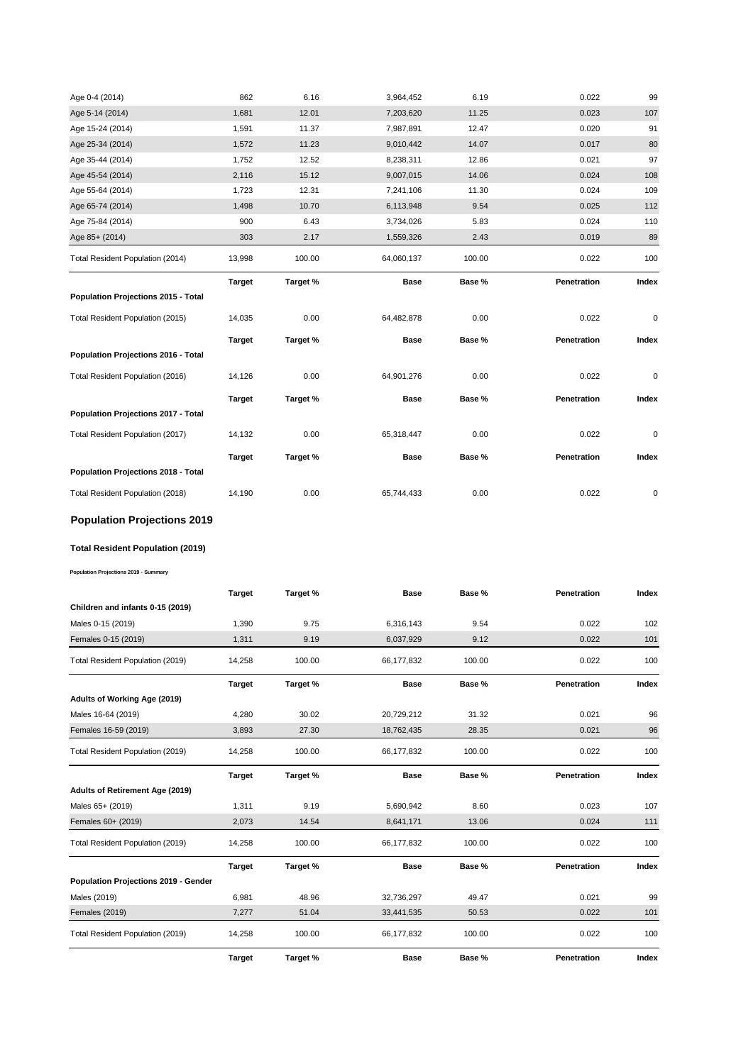| Age 0-4 (2014)                      | 862           | 6.16     | 3,964,452   | 6.19   | 0.022       | 99          |
|-------------------------------------|---------------|----------|-------------|--------|-------------|-------------|
| Age 5-14 (2014)                     | 1,681         | 12.01    | 7,203,620   | 11.25  | 0.023       | 107         |
| Age 15-24 (2014)                    | 1,591         | 11.37    | 7,987,891   | 12.47  | 0.020       | 91          |
| Age 25-34 (2014)                    | 1,572         | 11.23    | 9,010,442   | 14.07  | 0.017       | 80          |
| Age 35-44 (2014)                    | 1,752         | 12.52    | 8,238,311   | 12.86  | 0.021       | 97          |
| Age 45-54 (2014)                    | 2,116         | 15.12    | 9,007,015   | 14.06  | 0.024       | 108         |
| Age 55-64 (2014)                    | 1,723         | 12.31    | 7,241,106   | 11.30  | 0.024       | 109         |
| Age 65-74 (2014)                    | 1,498         | 10.70    | 6,113,948   | 9.54   | 0.025       | 112         |
| Age 75-84 (2014)                    | 900           | 6.43     | 3,734,026   | 5.83   | 0.024       | 110         |
| Age 85+ (2014)                      | 303           | 2.17     | 1,559,326   | 2.43   | 0.019       | 89          |
| Total Resident Population (2014)    | 13,998        | 100.00   | 64,060,137  | 100.00 | 0.022       | 100         |
|                                     | <b>Target</b> | Target % | <b>Base</b> | Base % | Penetration | Index       |
| Population Projections 2015 - Total |               |          |             |        |             |             |
| Total Resident Population (2015)    | 14,035        | 0.00     | 64,482,878  | 0.00   | 0.022       | $\mathbf 0$ |
|                                     | <b>Target</b> | Target % | <b>Base</b> | Base % | Penetration | Index       |
| Population Projections 2016 - Total |               |          |             |        |             |             |
| Total Resident Population (2016)    | 14,126        | 0.00     | 64,901,276  | 0.00   | 0.022       | 0           |
|                                     | <b>Target</b> | Target % | <b>Base</b> | Base % | Penetration | Index       |
| Population Projections 2017 - Total |               |          |             |        |             |             |
| Total Resident Population (2017)    |               |          | 65,318,447  | 0.00   | 0.022       | $\mathbf 0$ |
|                                     | 14,132        | 0.00     |             |        |             |             |
|                                     | <b>Target</b> | Target % | <b>Base</b> | Base % | Penetration | Index       |
| Population Projections 2018 - Total |               |          |             |        |             |             |

# **Population Projections 2019**

# **Total Resident Population (2019)**

**Population Projections 2019 - Summary**

|                                      | <b>Target</b> | Target % | <b>Base</b> | Base % | Penetration | Index |
|--------------------------------------|---------------|----------|-------------|--------|-------------|-------|
| Children and infants 0-15 (2019)     |               |          |             |        |             |       |
| Males 0-15 (2019)                    | 1,390         | 9.75     | 6,316,143   | 9.54   | 0.022       | 102   |
| Females 0-15 (2019)                  | 1,311         | 9.19     | 6,037,929   | 9.12   | 0.022       | 101   |
| Total Resident Population (2019)     | 14,258        | 100.00   | 66,177,832  | 100.00 | 0.022       | 100   |
|                                      | <b>Target</b> | Target % | <b>Base</b> | Base % | Penetration | Index |
| Adults of Working Age (2019)         |               |          |             |        |             |       |
| Males 16-64 (2019)                   | 4,280         | 30.02    | 20,729,212  | 31.32  | 0.021       | 96    |
| Females 16-59 (2019)                 | 3,893         | 27.30    | 18,762,435  | 28.35  | 0.021       | 96    |
| Total Resident Population (2019)     | 14,258        | 100.00   | 66,177,832  | 100.00 | 0.022       | 100   |
|                                      | <b>Target</b> | Target % | <b>Base</b> | Base % | Penetration | Index |
| Adults of Retirement Age (2019)      |               |          |             |        |             |       |
| Males 65+ (2019)                     | 1,311         | 9.19     | 5,690,942   | 8.60   | 0.023       | 107   |
| Females 60+ (2019)                   | 2,073         | 14.54    | 8,641,171   | 13.06  | 0.024       | 111   |
| Total Resident Population (2019)     | 14,258        | 100.00   | 66,177,832  | 100.00 | 0.022       | 100   |
|                                      | <b>Target</b> | Target % | <b>Base</b> | Base % | Penetration | Index |
| Population Projections 2019 - Gender |               |          |             |        |             |       |
| Males (2019)                         | 6,981         | 48.96    | 32,736,297  | 49.47  | 0.021       | 99    |
| <b>Females (2019)</b>                | 7,277         | 51.04    | 33,441,535  | 50.53  | 0.022       | 101   |
| Total Resident Population (2019)     | 14,258        | 100.00   | 66,177,832  | 100.00 | 0.022       | 100   |
|                                      | <b>Target</b> | Target % | <b>Base</b> | Base % | Penetration | Index |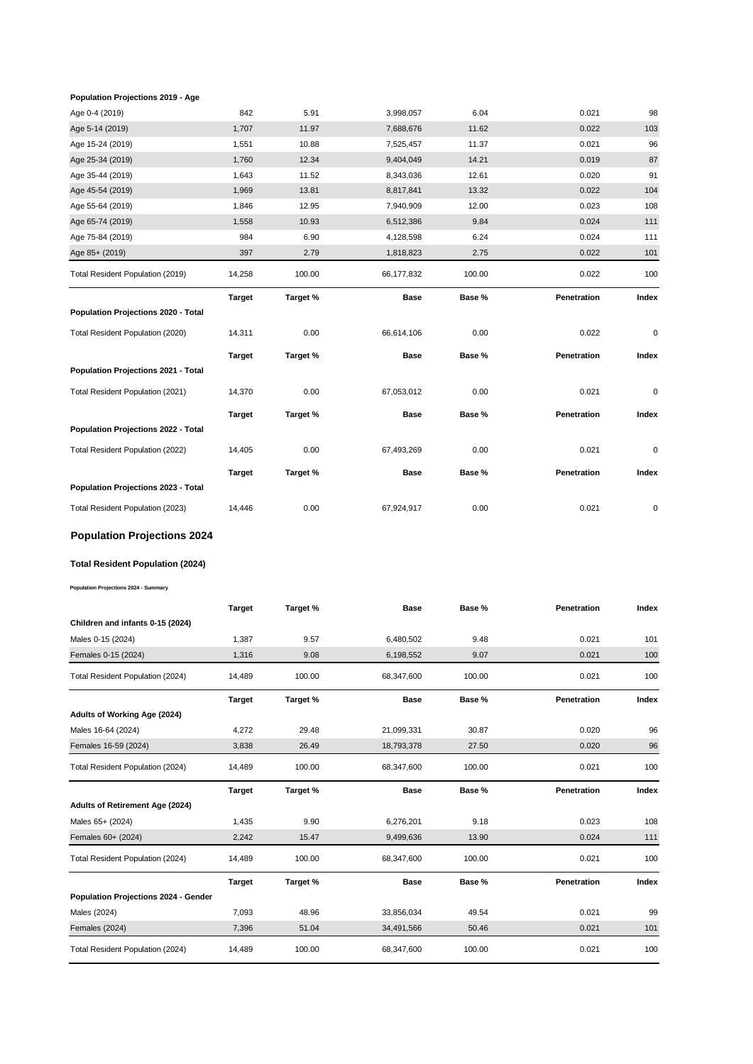#### **Population Projections 2019 - Age**

| Age 0-4 (2019)                          | 842           | 5.91     | 3,998,057   | 6.04   | 0.021       | 98          |
|-----------------------------------------|---------------|----------|-------------|--------|-------------|-------------|
| Age 5-14 (2019)                         | 1,707         | 11.97    | 7,688,676   | 11.62  | 0.022       | 103         |
| Age 15-24 (2019)                        | 1,551         | 10.88    | 7,525,457   | 11.37  | 0.021       | 96          |
| Age 25-34 (2019)                        | 1,760         | 12.34    | 9,404,049   | 14.21  | 0.019       | 87          |
| Age 35-44 (2019)                        | 1,643         | 11.52    | 8,343,036   | 12.61  | 0.020       | 91          |
| Age 45-54 (2019)                        | 1,969         | 13.81    | 8,817,841   | 13.32  | 0.022       | 104         |
| Age 55-64 (2019)                        | 1,846         | 12.95    | 7,940,909   | 12.00  | 0.023       | 108         |
| Age 65-74 (2019)                        | 1,558         | 10.93    | 6,512,386   | 9.84   | 0.024       | 111         |
| Age 75-84 (2019)                        | 984           | 6.90     | 4,128,598   | 6.24   | 0.024       | 111         |
| Age 85+ (2019)                          | 397           | 2.79     | 1,818,823   | 2.75   | 0.022       | 101         |
| Total Resident Population (2019)        | 14,258        | 100.00   | 66,177,832  | 100.00 | 0.022       | 100         |
|                                         | <b>Target</b> | Target % | <b>Base</b> | Base % | Penetration | Index       |
| Population Projections 2020 - Total     |               |          |             |        |             |             |
| Total Resident Population (2020)        | 14,311        | 0.00     | 66,614,106  | 0.00   | 0.022       | $\pmb{0}$   |
|                                         | <b>Target</b> | Target % | <b>Base</b> | Base % | Penetration | Index       |
| Population Projections 2021 - Total     |               |          |             |        |             |             |
| Total Resident Population (2021)        | 14,370        | 0.00     | 67,053,012  | 0.00   | 0.021       | $\pmb{0}$   |
|                                         | <b>Target</b> | Target % | <b>Base</b> | Base % | Penetration | Index       |
| Population Projections 2022 - Total     |               |          |             |        |             |             |
| Total Resident Population (2022)        | 14,405        | 0.00     | 67,493,269  | 0.00   | 0.021       | $\mathbf 0$ |
|                                         | <b>Target</b> | Target % | Base        | Base % | Penetration | Index       |
| Population Projections 2023 - Total     |               |          |             |        |             |             |
| Total Resident Population (2023)        | 14,446        | 0.00     | 67,924,917  | 0.00   | 0.021       | 0           |
| <b>Population Projections 2024</b>      |               |          |             |        |             |             |
| <b>Total Resident Population (2024)</b> |               |          |             |        |             |             |
| Population Projections 2024 - Summary   |               |          |             |        |             |             |

|                                      | <b>Target</b> | Target % | <b>Base</b> | Base % | Penetration | Index |
|--------------------------------------|---------------|----------|-------------|--------|-------------|-------|
| Children and infants 0-15 (2024)     |               |          |             |        |             |       |
| Males 0-15 (2024)                    | 1,387         | 9.57     | 6,480,502   | 9.48   | 0.021       | 101   |
| Females 0-15 (2024)                  | 1,316         | 9.08     | 6,198,552   | 9.07   | 0.021       | 100   |
| Total Resident Population (2024)     | 14,489        | 100.00   | 68,347,600  | 100.00 | 0.021       | 100   |
|                                      | <b>Target</b> | Target % | <b>Base</b> | Base % | Penetration | Index |
| Adults of Working Age (2024)         |               |          |             |        |             |       |
| Males 16-64 (2024)                   | 4,272         | 29.48    | 21,099,331  | 30.87  | 0.020       | 96    |
| Females 16-59 (2024)                 | 3,838         | 26.49    | 18,793,378  | 27.50  | 0.020       | 96    |
| Total Resident Population (2024)     | 14,489        | 100.00   | 68,347,600  | 100.00 | 0.021       | 100   |
|                                      |               |          |             |        |             |       |
|                                      | <b>Target</b> | Target % | <b>Base</b> | Base % | Penetration | Index |
| Adults of Retirement Age (2024)      |               |          |             |        |             |       |
| Males 65+ (2024)                     | 1,435         | 9.90     | 6,276,201   | 9.18   | 0.023       | 108   |
| Females 60+ (2024)                   | 2,242         | 15.47    | 9,499,636   | 13.90  | 0.024       | 111   |
| Total Resident Population (2024)     | 14,489        | 100.00   | 68,347,600  | 100.00 | 0.021       | 100   |
|                                      | <b>Target</b> | Target % | <b>Base</b> | Base % | Penetration | Index |
| Population Projections 2024 - Gender |               |          |             |        |             |       |
| Males (2024)                         | 7,093         | 48.96    | 33,856,034  | 49.54  | 0.021       | 99    |
| Females (2024)                       | 7,396         | 51.04    | 34,491,566  | 50.46  | 0.021       | 101   |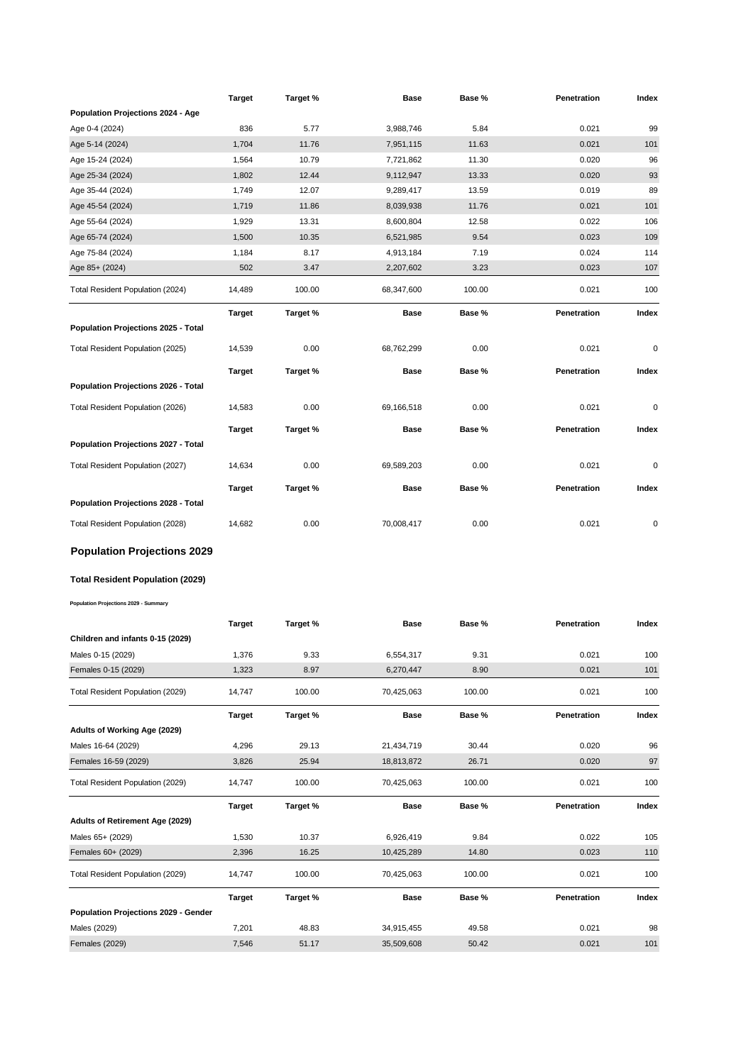|                                            | <b>Target</b> | Target % | Base        | Base % | Penetration | Index |
|--------------------------------------------|---------------|----------|-------------|--------|-------------|-------|
| Population Projections 2024 - Age          |               |          |             |        |             |       |
| Age 0-4 (2024)                             | 836           | 5.77     | 3,988,746   | 5.84   | 0.021       | 99    |
| Age 5-14 (2024)                            | 1,704         | 11.76    | 7,951,115   | 11.63  | 0.021       | 101   |
| Age 15-24 (2024)                           | 1,564         | 10.79    | 7,721,862   | 11.30  | 0.020       | 96    |
| Age 25-34 (2024)                           | 1,802         | 12.44    | 9,112,947   | 13.33  | 0.020       | 93    |
| Age 35-44 (2024)                           | 1,749         | 12.07    | 9,289,417   | 13.59  | 0.019       | 89    |
| Age 45-54 (2024)                           | 1,719         | 11.86    | 8,039,938   | 11.76  | 0.021       | 101   |
| Age 55-64 (2024)                           | 1,929         | 13.31    | 8,600,804   | 12.58  | 0.022       | 106   |
| Age 65-74 (2024)                           | 1,500         | 10.35    | 6,521,985   | 9.54   | 0.023       | 109   |
| Age 75-84 (2024)                           | 1,184         | 8.17     | 4,913,184   | 7.19   | 0.024       | 114   |
| Age 85+ (2024)                             | 502           | 3.47     | 2,207,602   | 3.23   | 0.023       | 107   |
| Total Resident Population (2024)           | 14,489        | 100.00   | 68,347,600  | 100.00 | 0.021       | 100   |
|                                            | Target        | Target % | <b>Base</b> | Base % | Penetration | Index |
| Population Projections 2025 - Total        |               |          |             |        |             |       |
| Total Resident Population (2025)           | 14,539        | 0.00     | 68,762,299  | 0.00   | 0.021       | 0     |
|                                            | <b>Target</b> | Target % | <b>Base</b> | Base % | Penetration | Index |
| Population Projections 2026 - Total        |               |          |             |        |             |       |
|                                            |               |          |             |        |             |       |
| Total Resident Population (2026)           | 14,583        | 0.00     | 69,166,518  | 0.00   | 0.021       | 0     |
|                                            | <b>Target</b> | Target % | Base        | Base % | Penetration | Index |
| <b>Population Projections 2027 - Total</b> |               |          |             |        |             |       |
| Total Resident Population (2027)           | 14,634        | 0.00     | 69,589,203  | 0.00   | 0.021       | 0     |
|                                            | Target        | Target % | Base        | Base % | Penetration | Index |
| Population Projections 2028 - Total        |               |          |             |        |             |       |
| Total Resident Population (2028)           | 14,682        | 0.00     | 70,008,417  | 0.00   | 0.021       | 0     |
|                                            |               |          |             |        |             |       |
| <b>Population Projections 2029</b>         |               |          |             |        |             |       |
| Total Resident Population (2029)           |               |          |             |        |             |       |
| Population Projections 2029 - Summary      |               |          |             |        |             |       |
|                                            |               |          | Base        | Base % | Penetration | Index |
| Children and infants 0-15 (2029)           | Target        | Target % |             |        |             |       |
|                                            | 1,376         | 9.33     | 6,554,317   | 9.31   | 0.021       | 100   |
| Males 0-15 (2029)<br>Females 0-15 (2029)   | 1,323         | 8.97     | 6,270,447   | 8.90   | 0.021       | 101   |
|                                            |               |          |             |        |             |       |
| Total Resident Population (2029)           | 14,747        | 100.00   | 70,425,063  | 100.00 | 0.021       | 100   |
|                                            | <b>Target</b> | Target % | Base        | Base % | Penetration | Index |
| Adults of Working Age (2029)               |               |          |             |        |             |       |
| Males 16-64 (2029)                         | 4,296         | 29.13    | 21,434,719  | 30.44  | 0.020       | 96    |
| Females 16-59 (2029)                       | 3,826         | 25.94    | 18,813,872  | 26.71  | 0.020       | 97    |
| Total Resident Population (2029)           | 14,747        | 100.00   | 70,425,063  | 100.00 | 0.021       | 100   |
|                                            | <b>Target</b> | Target % | Base        | Base % | Penetration | Index |
| <b>Adults of Retirement Age (2029)</b>     |               |          |             |        |             |       |
|                                            |               | 10.37    | 6,926,419   | 9.84   | 0.022       | 105   |
| Males 65+ (2029)                           | 1,530         |          |             |        |             |       |
| Females 60+ (2029)                         | 2,396         | 16.25    | 10,425,289  | 14.80  | 0.023       | 110   |
| Total Resident Population (2029)           | 14,747        | 100.00   | 70,425,063  | 100.00 | 0.021       | 100   |
| Population Projections 2029 - Gender       | <b>Target</b> | Target % | Base        | Base % | Penetration | Index |
| Males (2029)                               | 7,201         | 48.83    | 34,915,455  | 49.58  | 0.021       | 98    |
| <b>Females (2029)</b>                      | 7,546         | 51.17    | 35,509,608  | 50.42  | 0.021       | 101   |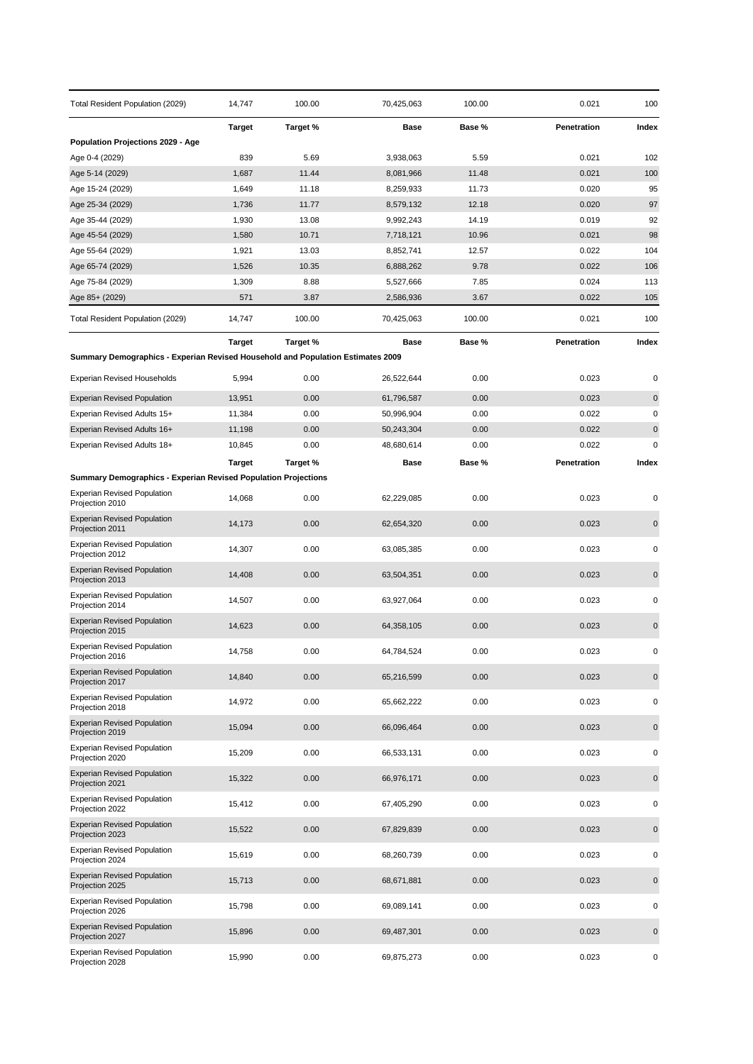| Total Resident Population (2029)                                                | 14,747        | 100.00   | 70,425,063 | 100.00 | 0.021       | 100         |
|---------------------------------------------------------------------------------|---------------|----------|------------|--------|-------------|-------------|
|                                                                                 | <b>Target</b> | Target % | Base       | Base % | Penetration | Index       |
| Population Projections 2029 - Age                                               |               |          |            |        |             |             |
| Age 0-4 (2029)                                                                  | 839           | 5.69     | 3,938,063  | 5.59   | 0.021       | 102         |
| Age 5-14 (2029)                                                                 | 1,687         | 11.44    | 8,081,966  | 11.48  | 0.021       | 100         |
| Age 15-24 (2029)                                                                | 1,649         | 11.18    | 8,259,933  | 11.73  | 0.020       | 95          |
| Age 25-34 (2029)                                                                | 1,736         | 11.77    | 8,579,132  | 12.18  | 0.020       | 97          |
| Age 35-44 (2029)                                                                | 1,930         | 13.08    | 9,992,243  | 14.19  | 0.019       | 92          |
| Age 45-54 (2029)                                                                | 1,580         | 10.71    | 7,718,121  | 10.96  | 0.021       | 98          |
| Age 55-64 (2029)                                                                | 1,921         | 13.03    | 8,852,741  | 12.57  | 0.022       | 104         |
| Age 65-74 (2029)                                                                | 1,526         | 10.35    | 6,888,262  | 9.78   | 0.022       | 106         |
| Age 75-84 (2029)                                                                | 1,309         | 8.88     | 5,527,666  | 7.85   | 0.024       | 113         |
| Age 85+ (2029)                                                                  | 571           | 3.87     | 2,586,936  | 3.67   | 0.022       | 105         |
| Total Resident Population (2029)                                                | 14,747        | 100.00   | 70,425,063 | 100.00 | 0.021       | 100         |
|                                                                                 | <b>Target</b> | Target % | Base       | Base % | Penetration | Index       |
| Summary Demographics - Experian Revised Household and Population Estimates 2009 |               |          |            |        |             |             |
| <b>Experian Revised Households</b>                                              | 5,994         | 0.00     | 26,522,644 | 0.00   | 0.023       | 0           |
| <b>Experian Revised Population</b>                                              | 13,951        | 0.00     | 61,796,587 | 0.00   | 0.023       | 0           |
| Experian Revised Adults 15+                                                     | 11,384        | 0.00     | 50,996,904 | 0.00   | 0.022       | 0           |
| Experian Revised Adults 16+                                                     | 11,198        | 0.00     | 50,243,304 | 0.00   | 0.022       | $\pmb{0}$   |
| Experian Revised Adults 18+                                                     | 10,845        | 0.00     | 48,680,614 | 0.00   | 0.022       | 0           |
|                                                                                 |               | Target % | Base       | Base % | Penetration | Index       |
| <b>Summary Demographics - Experian Revised Population Projections</b>           | <b>Target</b> |          |            |        |             |             |
|                                                                                 |               |          |            |        |             |             |
| <b>Experian Revised Population</b><br>Projection 2010                           | 14,068        | 0.00     | 62,229,085 | 0.00   | 0.023       | 0           |
| <b>Experian Revised Population</b><br>Projection 2011                           | 14,173        | 0.00     | 62,654,320 | 0.00   | 0.023       | 0           |
| Experian Revised Population<br>Projection 2012                                  | 14,307        | 0.00     | 63,085,385 | 0.00   | 0.023       | 0           |
| <b>Experian Revised Population</b><br>Projection 2013                           | 14,408        | 0.00     | 63,504,351 | 0.00   | 0.023       | $\mathbf 0$ |
| <b>Experian Revised Population</b><br>Projection 2014                           | 14,507        | 0.00     | 63,927,064 | 0.00   | 0.023       | 0           |
| <b>Experian Revised Population</b><br>Projection 2015                           | 14,623        | 0.00     | 64,358,105 | 0.00   | 0.023       | $\mathbf 0$ |
| <b>Experian Revised Population</b><br>Projection 2016                           | 14,758        | 0.00     | 64,784,524 | 0.00   | 0.023       | 0           |
| <b>Experian Revised Population</b><br>Projection 2017                           | 14,840        | 0.00     | 65,216,599 | 0.00   | 0.023       | $\pmb{0}$   |
| <b>Experian Revised Population</b><br>Projection 2018                           | 14,972        | 0.00     | 65,662,222 | 0.00   | 0.023       | 0           |
| <b>Experian Revised Population</b><br>Projection 2019                           | 15,094        | 0.00     | 66,096,464 | 0.00   | 0.023       | 0           |
| <b>Experian Revised Population</b><br>Projection 2020                           | 15,209        | 0.00     | 66,533,131 | 0.00   | 0.023       | 0           |
| <b>Experian Revised Population</b><br>Projection 2021                           | 15,322        | 0.00     | 66,976,171 | 0.00   | 0.023       | 0           |
| <b>Experian Revised Population</b><br>Projection 2022                           | 15,412        | 0.00     | 67,405,290 | 0.00   | 0.023       | 0           |
| <b>Experian Revised Population</b><br>Projection 2023                           | 15,522        | 0.00     | 67,829,839 | 0.00   | 0.023       | $\pmb{0}$   |
| <b>Experian Revised Population</b><br>Projection 2024                           | 15,619        | 0.00     | 68,260,739 | 0.00   | 0.023       | 0           |
| <b>Experian Revised Population</b><br>Projection 2025                           | 15,713        | 0.00     | 68,671,881 | 0.00   | 0.023       | 0           |
| <b>Experian Revised Population</b><br>Projection 2026                           | 15,798        | 0.00     | 69,089,141 | 0.00   | 0.023       | 0           |
| <b>Experian Revised Population</b><br>Projection 2027                           | 15,896        | 0.00     | 69,487,301 | 0.00   | 0.023       | 0           |
| <b>Experian Revised Population</b><br>Projection 2028                           | 15,990        | 0.00     | 69,875,273 | 0.00   | 0.023       | 0           |